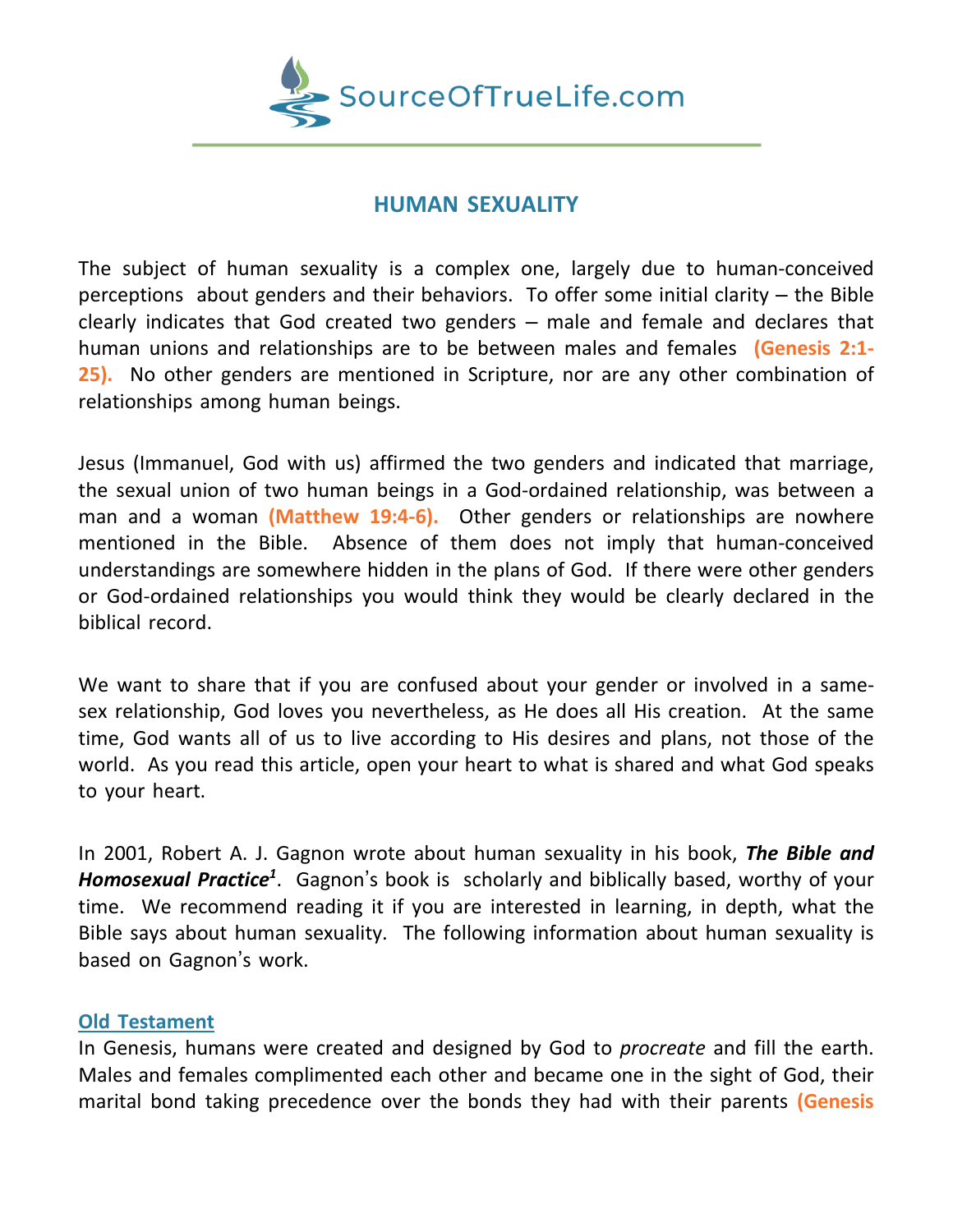

# **HUMAN SEXUALITY**

The subject of human sexuality is a complex one, largely due to human-conceived perceptions about genders and their behaviors. To offer some initial clarity – the Bible clearly indicates that God created two genders – male and female and declares that human unions and relationships are to be between males and females **(Genesis 2:1- 25).** No other genders are mentioned in Scripture, nor are any other combination of relationships among human beings.

Jesus (Immanuel, God with us) affirmed the two genders and indicated that marriage, the sexual union of two human beings in a God-ordained relationship, was between a man and a woman **(Matthew 19:4-6).** Other genders or relationships are nowhere mentioned in the Bible. Absence of them does not imply that human-conceived understandings are somewhere hidden in the plans of God. If there were other genders or God-ordained relationships you would think they would be clearly declared in the biblical record.

We want to share that if you are confused about your gender or involved in a samesex relationship, God loves you nevertheless, as He does all His creation. At the same time, God wants all of us to live according to His desires and plans, not those of the world. As you read this article, open your heart to what is shared and what God speaks to your heart.

In 2001, Robert A. J. Gagnon wrote about human sexuality in his book, *The Bible and Homosexual Practice<sup>1</sup>* . Gagnon's book is scholarly and biblically based, worthy of your time. We recommend reading it if you are interested in learning, in depth, what the Bible says about human sexuality. The following information about human sexuality is based on Gagnon's work.

## **Old Testament**

In Genesis, humans were created and designed by God to *procreate* and fill the earth. Males and females complimented each other and became one in the sight of God, their marital bond taking precedence over the bonds they had with their parents **(Genesis**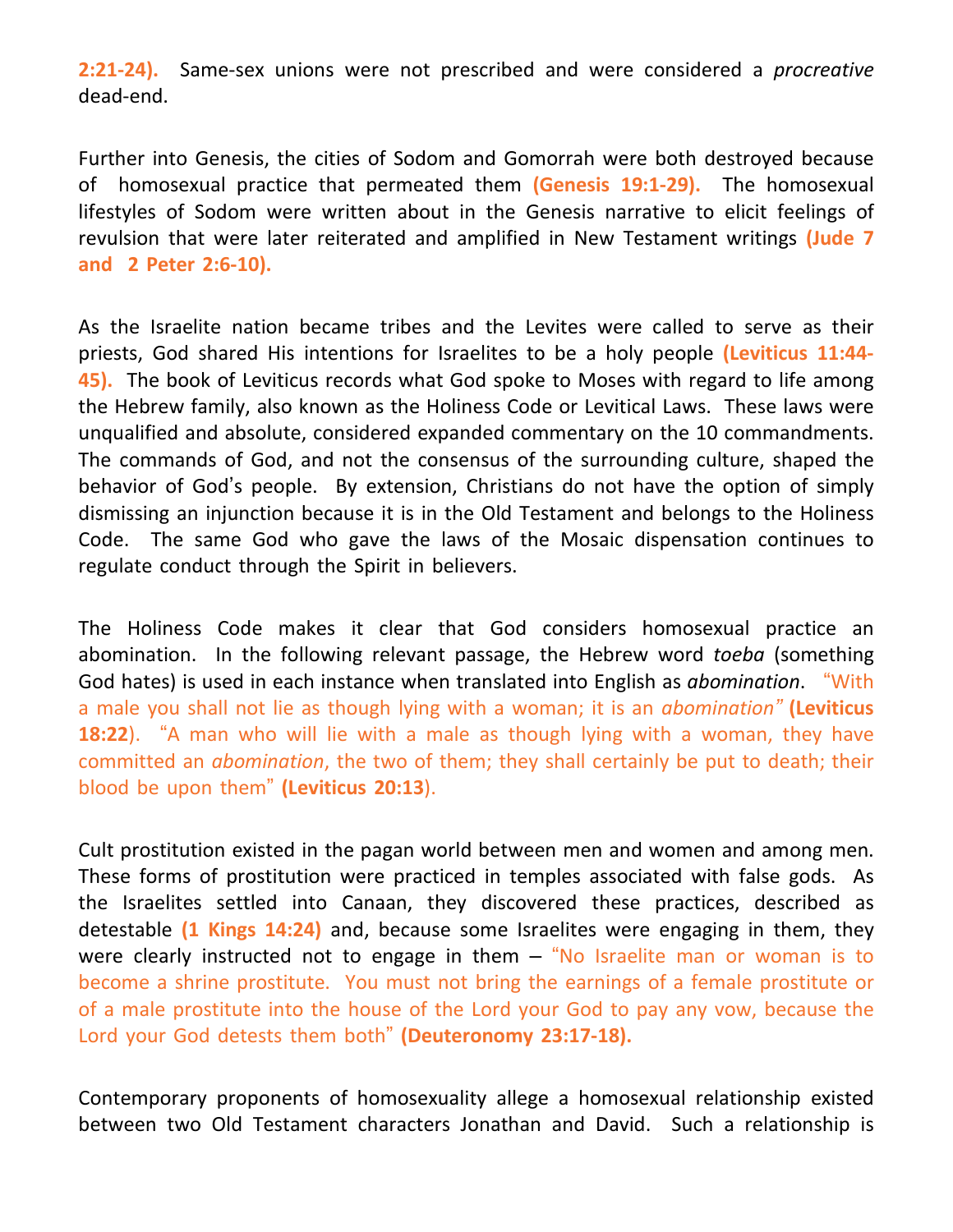**2:21-24).** Same-sex unions were not prescribed and were considered a *procreative* dead-end.

Further into Genesis, the cities of Sodom and Gomorrah were both destroyed because of homosexual practice that permeated them **(Genesis 19:1-29).** The homosexual lifestyles of Sodom were written about in the Genesis narrative to elicit feelings of revulsion that were later reiterated and amplified in New Testament writings **(Jude 7 and 2 Peter 2:6-10).**

As the Israelite nation became tribes and the Levites were called to serve as their priests, God shared His intentions for Israelites to be a holy people **(Leviticus 11:44- 45).** The book of Leviticus records what God spoke to Moses with regard to life among the Hebrew family, also known as the Holiness Code or Levitical Laws. These laws were unqualified and absolute, considered expanded commentary on the 10 commandments. The commands of God, and not the consensus of the surrounding culture, shaped the behavior of God's people. By extension, Christians do not have the option of simply dismissing an injunction because it is in the Old Testament and belongs to the Holiness Code. The same God who gave the laws of the Mosaic dispensation continues to regulate conduct through the Spirit in believers.

The Holiness Code makes it clear that God considers homosexual practice an abomination. In the following relevant passage, the Hebrew word *toeba* (something God hates) is used in each instance when translated into English as *abomination*. "With a male you shall not lie as though lying with a woman; it is an *abomination"* **(Leviticus 18:22**). "A man who will lie with a male as though lying with a woman, they have committed an *abomination*, the two of them; they shall certainly be put to death; their blood be upon them" **(Leviticus 20:13**).

Cult prostitution existed in the pagan world between men and women and among men. These forms of prostitution were practiced in temples associated with false gods. As the Israelites settled into Canaan, they discovered these practices, described as detestable **(1 Kings 14:24)** and, because some Israelites were engaging in them, they were clearly instructed not to engage in them – "No Israelite man or woman is to become a shrine prostitute. You must not bring the earnings of a female prostitute or of a male prostitute into the house of the Lord your God to pay any vow, because the Lord your God detests them both" **(Deuteronomy 23:17-18).**

Contemporary proponents of homosexuality allege a homosexual relationship existed between two Old Testament characters Jonathan and David. Such a relationship is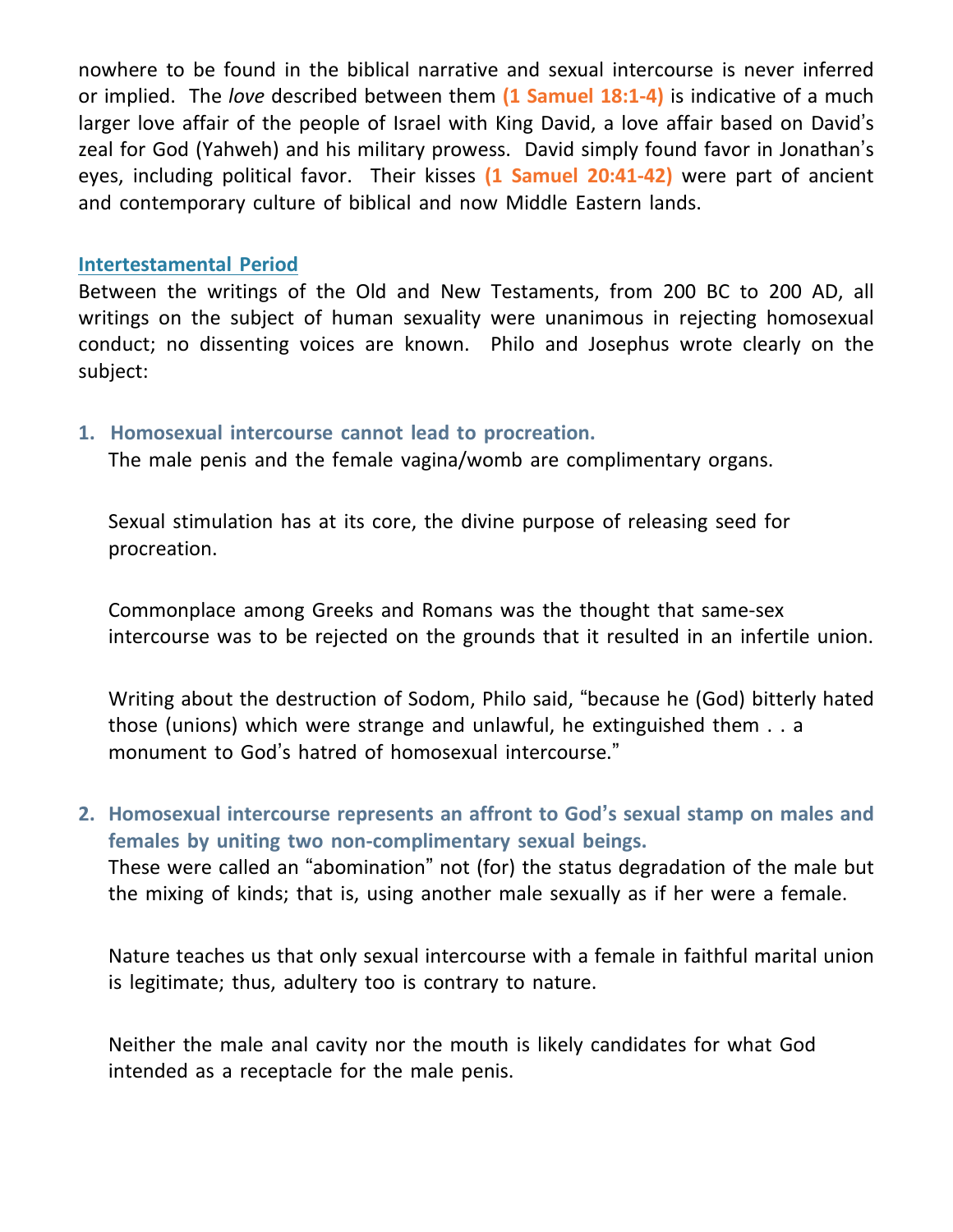nowhere to be found in the biblical narrative and sexual intercourse is never inferred or implied. The *love* described between them **(1 Samuel 18:1-4)** is indicative of a much larger love affair of the people of Israel with King David, a love affair based on David's zeal for God (Yahweh) and his military prowess. David simply found favor in Jonathan's eyes, including political favor. Their kisses **(1 Samuel 20:41-42)** were part of ancient and contemporary culture of biblical and now Middle Eastern lands.

#### **Intertestamental Period**

Between the writings of the Old and New Testaments, from 200 BC to 200 AD, all writings on the subject of human sexuality were unanimous in rejecting homosexual conduct; no dissenting voices are known. Philo and Josephus wrote clearly on the subject:

## **1. Homosexual intercourse cannot lead to procreation.**

The male penis and the female vagina/womb are complimentary organs.

 Sexual stimulation has at its core, the divine purpose of releasing seed for procreation.

 Commonplace among Greeks and Romans was the thought that same-sex intercourse was to be rejected on the grounds that it resulted in an infertile union.

 Writing about the destruction of Sodom, Philo said, "because he (God) bitterly hated those (unions) which were strange and unlawful, he extinguished them . . a monument to God's hatred of homosexual intercourse."

**2. Homosexual intercourse represents an affront to God's sexual stamp on males and females by uniting two non-complimentary sexual beings.** These were called an "abomination" not (for) the status degradation of the male but the mixing of kinds; that is, using another male sexually as if her were a female.

 Nature teaches us that only sexual intercourse with a female in faithful marital union is legitimate; thus, adultery too is contrary to nature.

 Neither the male anal cavity nor the mouth is likely candidates for what God intended as a receptacle for the male penis.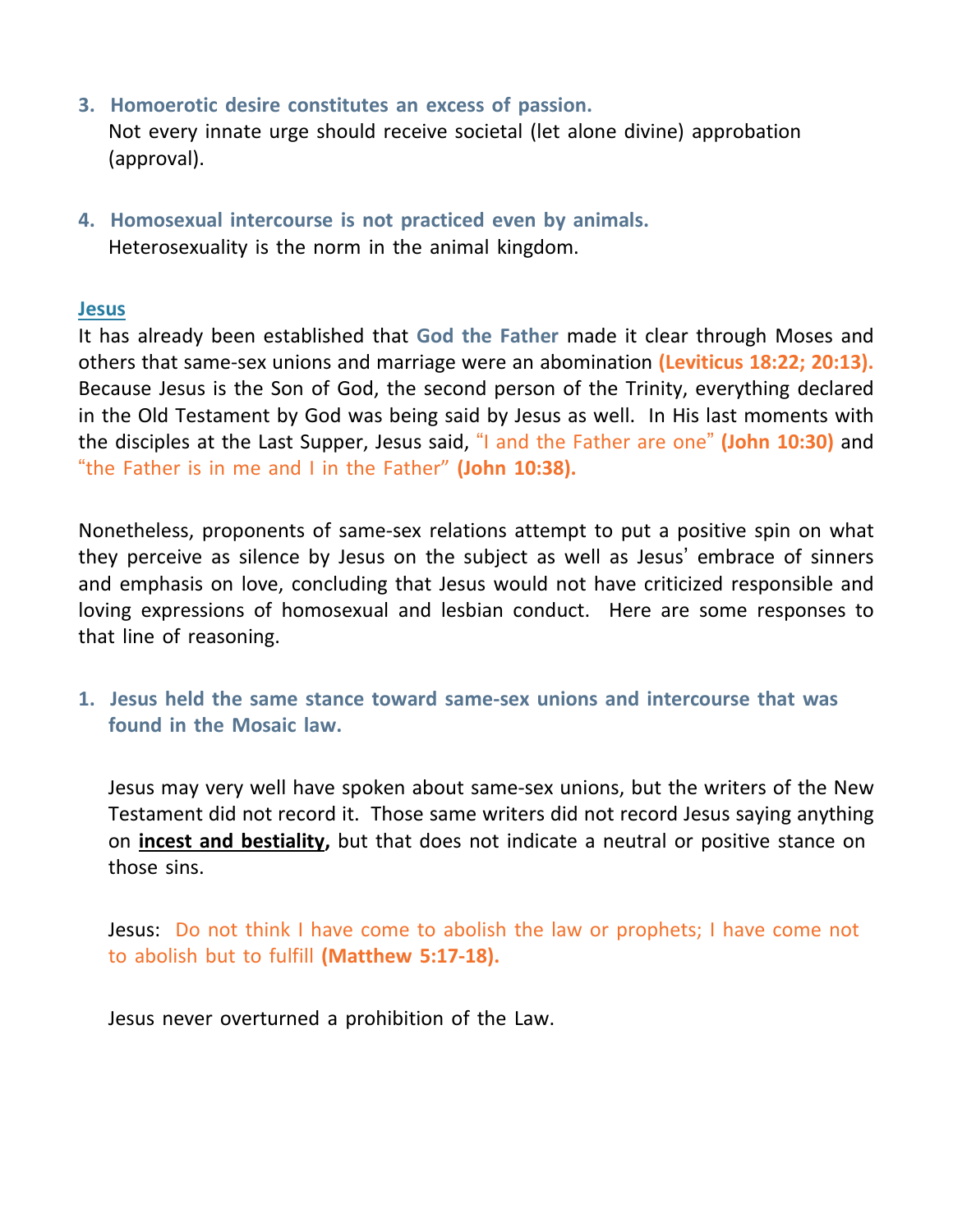- **3. Homoerotic desire constitutes an excess of passion.** Not every innate urge should receive societal (let alone divine) approbation (approval).
- **4. Homosexual intercourse is not practiced even by animals.** Heterosexuality is the norm in the animal kingdom.

#### **Jesus**

It has already been established that **God the Father** made it clear through Moses and others that same-sex unions and marriage were an abomination **(Leviticus 18:22; 20:13).** Because Jesus is the Son of God, the second person of the Trinity, everything declared in the Old Testament by God was being said by Jesus as well. In His last moments with the disciples at the Last Supper, Jesus said, "I and the Father are one" **(John 10:30)** and "the Father is in me and I in the Father" **(John 10:38).**

Nonetheless, proponents of same-sex relations attempt to put a positive spin on what they perceive as silence by Jesus on the subject as well as Jesus' embrace of sinners and emphasis on love, concluding that Jesus would not have criticized responsible and loving expressions of homosexual and lesbian conduct. Here are some responses to that line of reasoning.

**1. Jesus held the same stance toward same-sex unions and intercourse that was found in the Mosaic law.**

 Jesus may very well have spoken about same-sex unions, but the writers of the New Testament did not record it. Those same writers did not record Jesus saying anything on **incest and bestiality,** but that does not indicate a neutral or positive stance on those sins.

 Jesus: Do not think I have come to abolish the law or prophets; I have come not to abolish but to fulfill **(Matthew 5:17-18).**

Jesus never overturned a prohibition of the Law.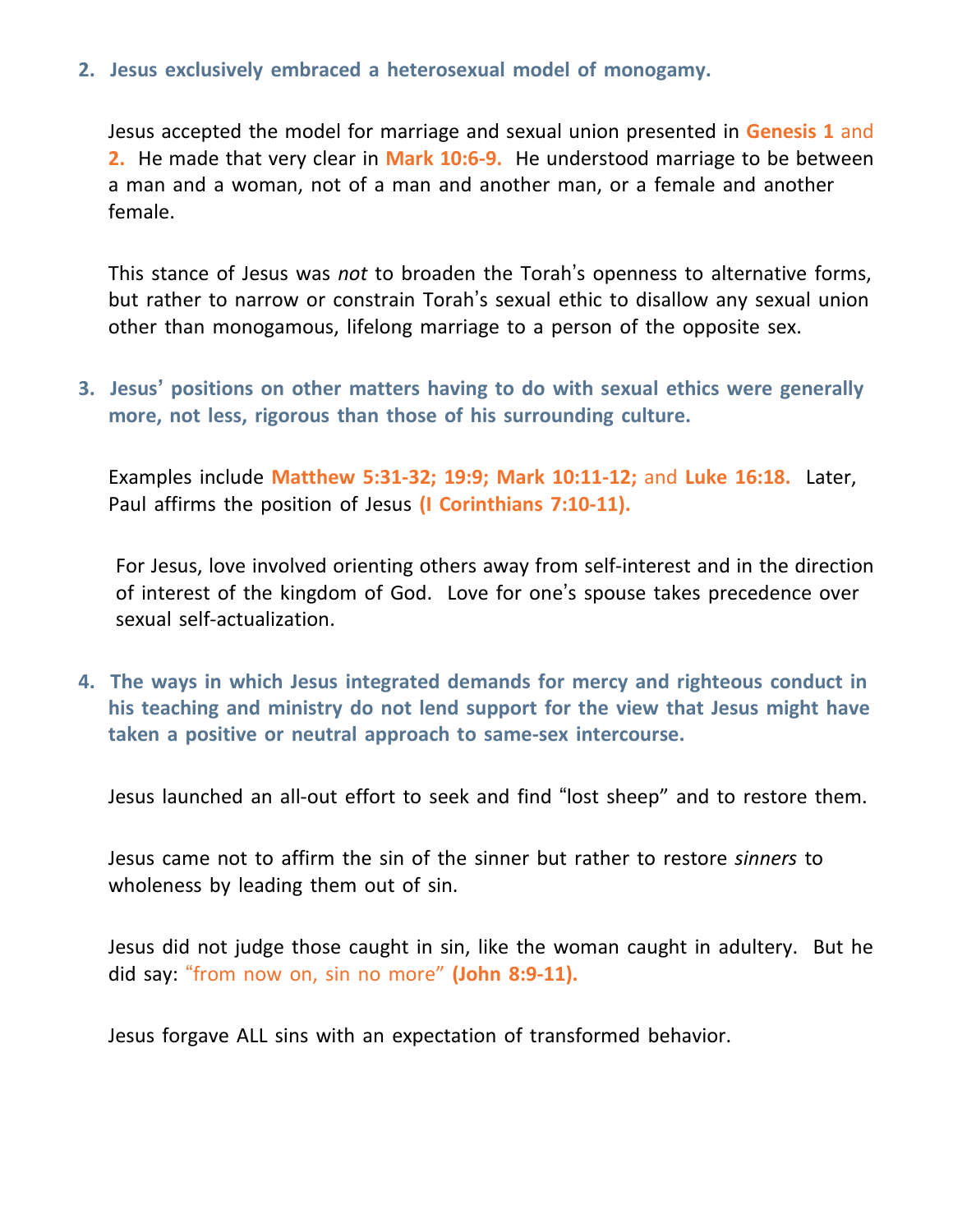## **2. Jesus exclusively embraced a heterosexual model of monogamy.**

 Jesus accepted the model for marriage and sexual union presented in **Genesis 1** and **2.** He made that very clear in **Mark 10:6-9.** He understood marriage to be between a man and a woman, not of a man and another man, or a female and another female.

 This stance of Jesus was *not* to broaden the Torah's openness to alternative forms, but rather to narrow or constrain Torah's sexual ethic to disallow any sexual union other than monogamous, lifelong marriage to a person of the opposite sex.

**3. Jesus' positions on other matters having to do with sexual ethics were generally more, not less, rigorous than those of his surrounding culture.**

 Examples include **Matthew 5:31-32; 19:9; Mark 10:11-12;** and **Luke 16:18.** Later, Paul affirms the position of Jesus **(I Corinthians 7:10-11).**

 For Jesus, love involved orienting others away from self-interest and in the direction of interest of the kingdom of God. Love for one's spouse takes precedence over sexual self-actualization.

**4. The ways in which Jesus integrated demands for mercy and righteous conduct in his teaching and ministry do not lend support for the view that Jesus might have taken a positive or neutral approach to same-sex intercourse.**

Jesus launched an all-out effort to seek and find "lost sheep" and to restore them.

 Jesus came not to affirm the sin of the sinner but rather to restore *sinners* to wholeness by leading them out of sin.

 Jesus did not judge those caught in sin, like the woman caught in adultery. But he did say: "from now on, sin no more" **(John 8:9-11).**

Jesus forgave ALL sins with an expectation of transformed behavior.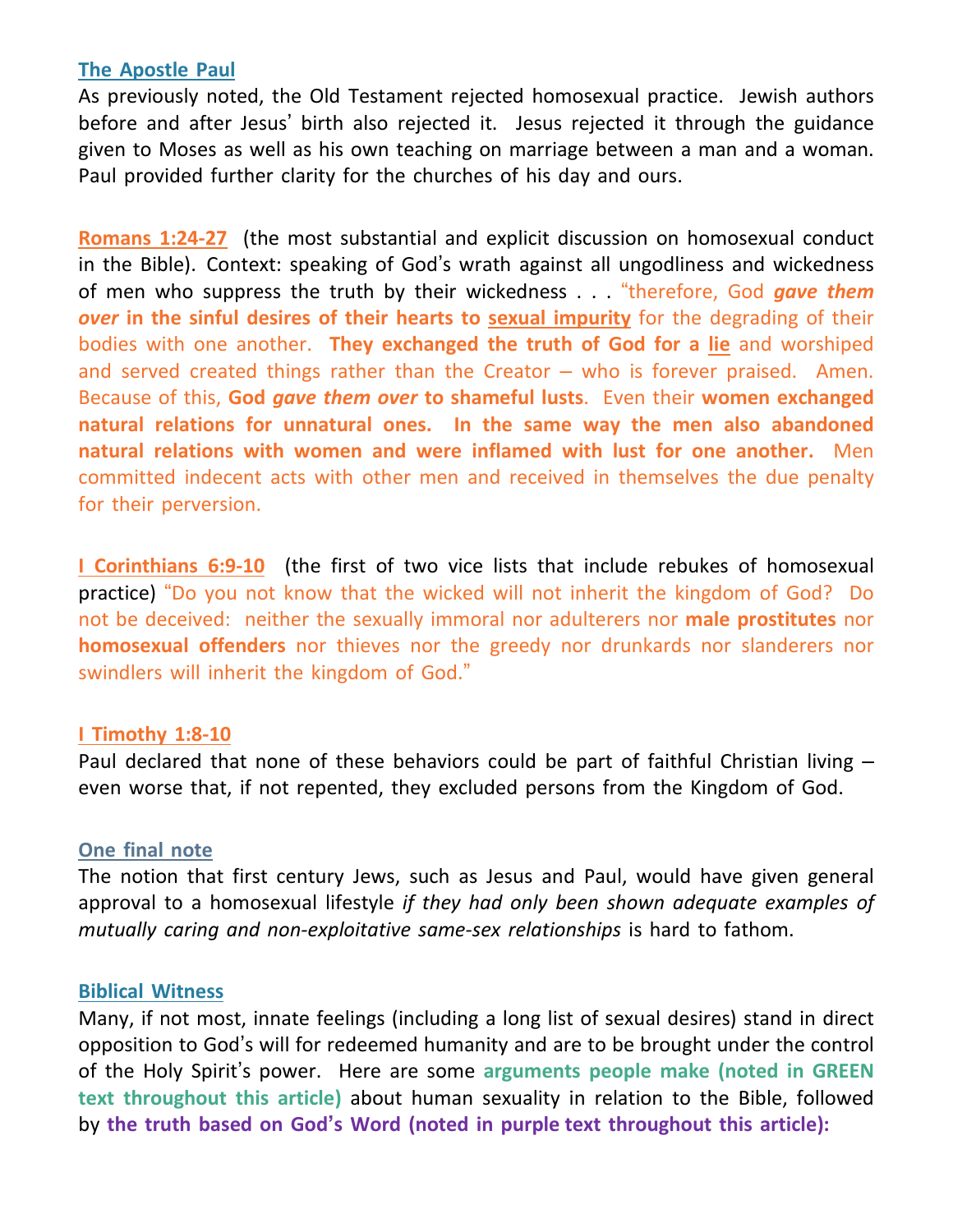## **The Apostle Paul**

As previously noted, the Old Testament rejected homosexual practice. Jewish authors before and after Jesus' birth also rejected it. Jesus rejected it through the guidance given to Moses as well as his own teaching on marriage between a man and a woman. Paul provided further clarity for the churches of his day and ours.

**Romans 1:24-27** (the most substantial and explicit discussion on homosexual conduct in the Bible). Context: speaking of God's wrath against all ungodliness and wickedness of men who suppress the truth by their wickedness . . . "therefore, God *gave them over* **in the sinful desires of their hearts to sexual impurity** for the degrading of their bodies with one another. **They exchanged the truth of God for a lie** and worshiped and served created things rather than the Creator – who is forever praised. Amen. Because of this, **God** *gave them over* **to shameful lusts**. Even their **women exchanged natural relations for unnatural ones. In the same way the men also abandoned natural relations with women and were inflamed with lust for one another.** Men committed indecent acts with other men and received in themselves the due penalty for their perversion.

**I Corinthians 6:9-10** (the first of two vice lists that include rebukes of homosexual practice) "Do you not know that the wicked will not inherit the kingdom of God? Do not be deceived: neither the sexually immoral nor adulterers nor **male prostitutes** nor **homosexual offenders** nor thieves nor the greedy nor drunkards nor slanderers nor swindlers will inherit the kingdom of God."

## **I Timothy 1:8-10**

Paul declared that none of these behaviors could be part of faithful Christian living – even worse that, if not repented, they excluded persons from the Kingdom of God.

#### **One final note**

The notion that first century Jews, such as Jesus and Paul, would have given general approval to a homosexual lifestyle *if they had only been shown adequate examples of mutually caring and non-exploitative same-sex relationships* is hard to fathom.

#### **Biblical Witness**

Many, if not most, innate feelings (including a long list of sexual desires) stand in direct opposition to God's will for redeemed humanity and are to be brought under the control of the Holy Spirit's power. Here are some **arguments people make (noted in GREEN text throughout this article)** about human sexuality in relation to the Bible, followed by **the truth based on God's Word (noted in purple text throughout this article):**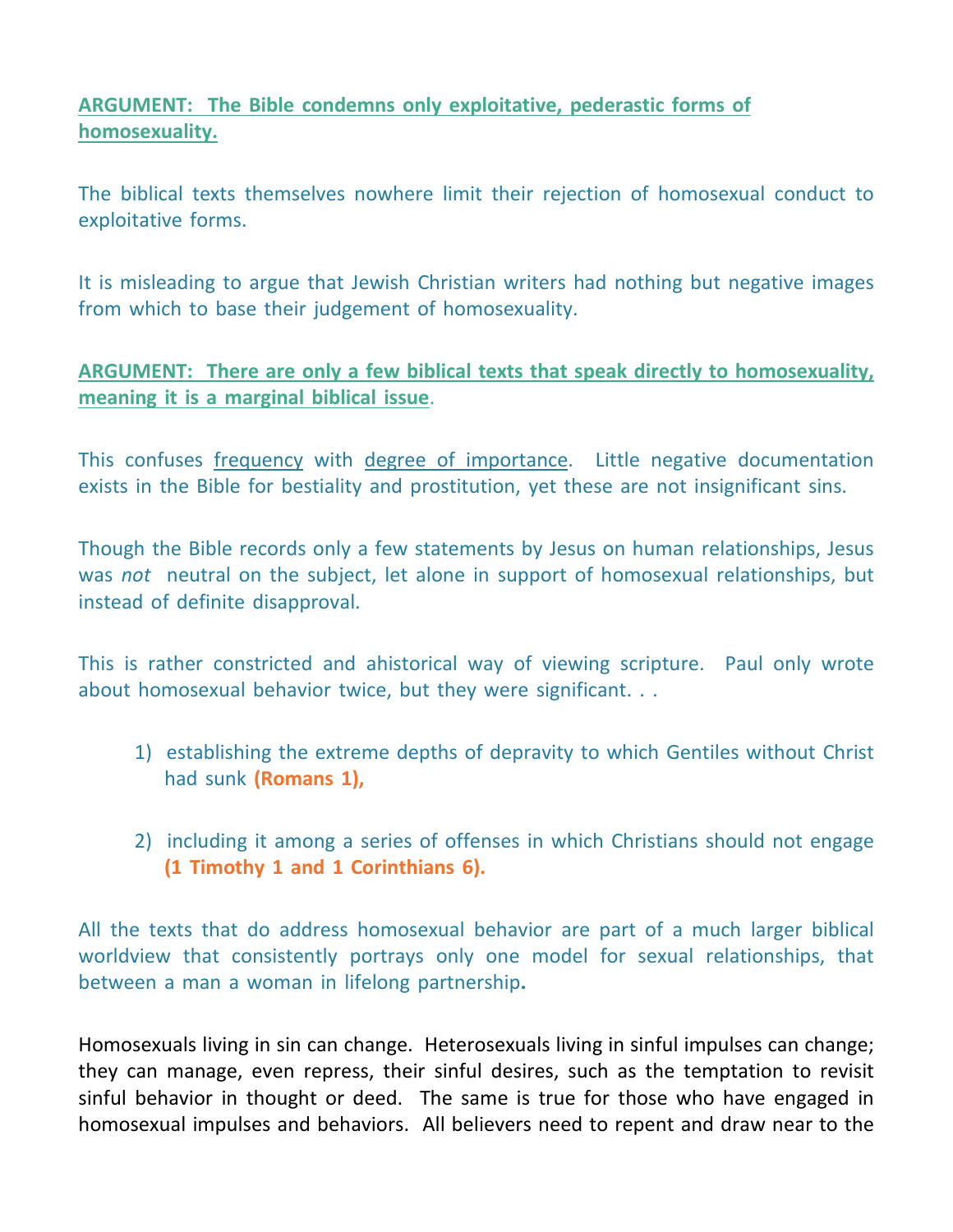# **ARGUMENT: The Bible condemns only exploitative, pederastic forms of homosexuality.**

The biblical texts themselves nowhere limit their rejection of homosexual conduct to exploitative forms.

It is misleading to argue that Jewish Christian writers had nothing but negative images from which to base their judgement of homosexuality.

# **ARGUMENT: There are only a few biblical texts that speak directly to homosexuality, meaning it is a marginal biblical issue**.

This confuses frequency with degree of importance. Little negative documentation exists in the Bible for bestiality and prostitution, yet these are not insignificant sins.

Though the Bible records only a few statements by Jesus on human relationships, Jesus was *not* neutral on the subject, let alone in support of homosexual relationships, but instead of definite disapproval.

This is rather constricted and ahistorical way of viewing scripture. Paul only wrote about homosexual behavior twice, but they were significant. . .

- 1) establishing the extreme depths of depravity to which Gentiles without Christ had sunk **(Romans 1),**
- 2) including it among a series of offenses in which Christians should not engage **(1 Timothy 1 and 1 Corinthians 6).**

All the texts that do address homosexual behavior are part of a much larger biblical worldview that consistently portrays only one model for sexual relationships, that between a man a woman in lifelong partnership**.**

Homosexuals living in sin can change. Heterosexuals living in sinful impulses can change; they can manage, even repress, their sinful desires, such as the temptation to revisit sinful behavior in thought or deed. The same is true for those who have engaged in homosexual impulses and behaviors. All believers need to repent and draw near to the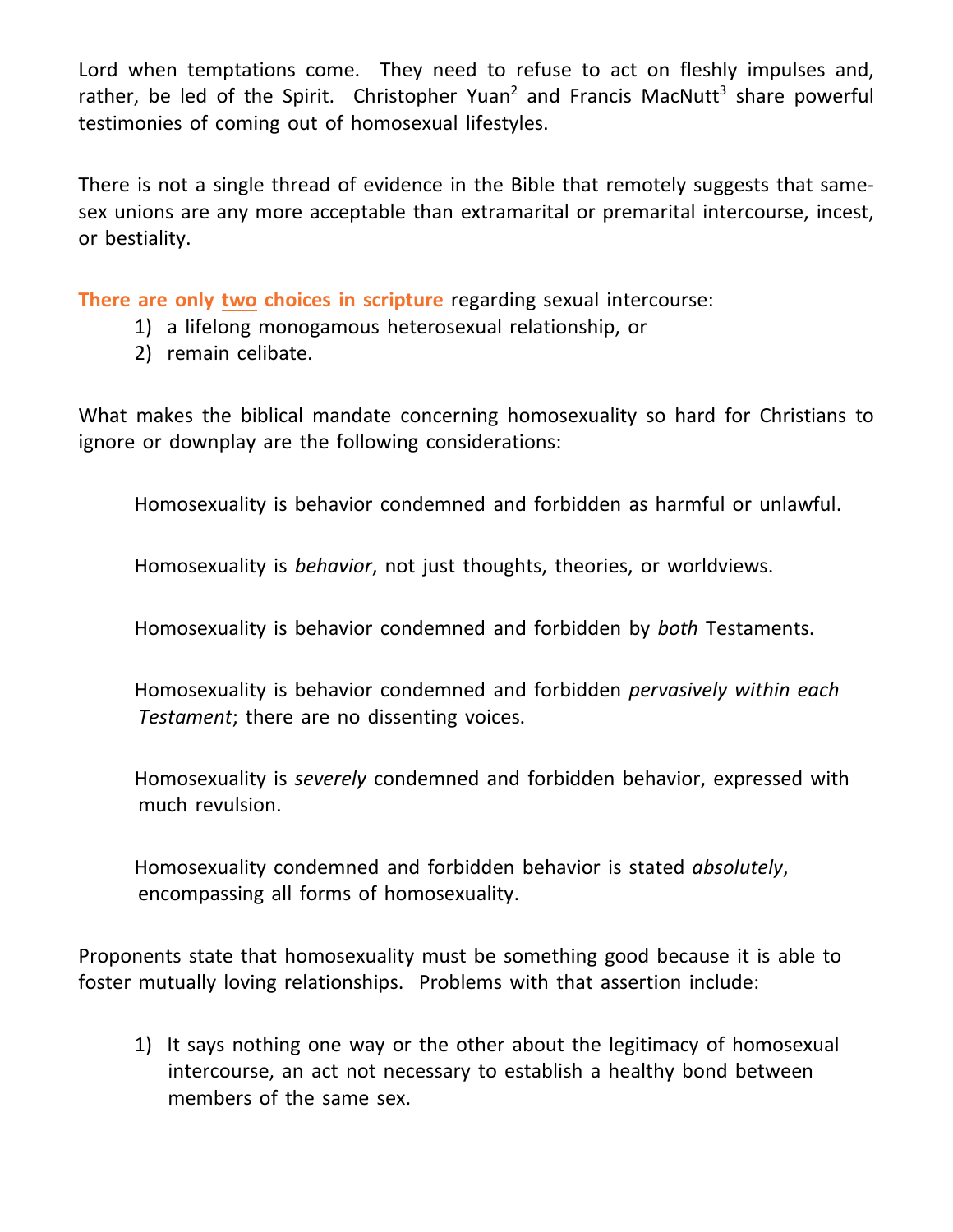Lord when temptations come. They need to refuse to act on fleshly impulses and, rather, be led of the Spirit. Christopher Yuan<sup>2</sup> and Francis MacNutt<sup>3</sup> share powerful testimonies of coming out of homosexual lifestyles.

There is not a single thread of evidence in the Bible that remotely suggests that samesex unions are any more acceptable than extramarital or premarital intercourse, incest, or bestiality.

**There are only two choices in scripture** regarding sexual intercourse:

- 1) a lifelong monogamous heterosexual relationship, or
- 2) remain celibate.

What makes the biblical mandate concerning homosexuality so hard for Christians to ignore or downplay are the following considerations:

Homosexuality is behavior condemned and forbidden as harmful or unlawful.

Homosexuality is *behavior*, not just thoughts, theories, or worldviews.

Homosexuality is behavior condemned and forbidden by *both* Testaments.

Homosexuality is behavior condemned and forbidden *pervasively within each Testament*; there are no dissenting voices.

Homosexuality is *severely* condemned and forbidden behavior, expressed with much revulsion.

Homosexuality condemned and forbidden behavior is stated *absolutely*, encompassing all forms of homosexuality.

Proponents state that homosexuality must be something good because it is able to foster mutually loving relationships. Problems with that assertion include:

1) It says nothing one way or the other about the legitimacy of homosexual intercourse, an act not necessary to establish a healthy bond between members of the same sex.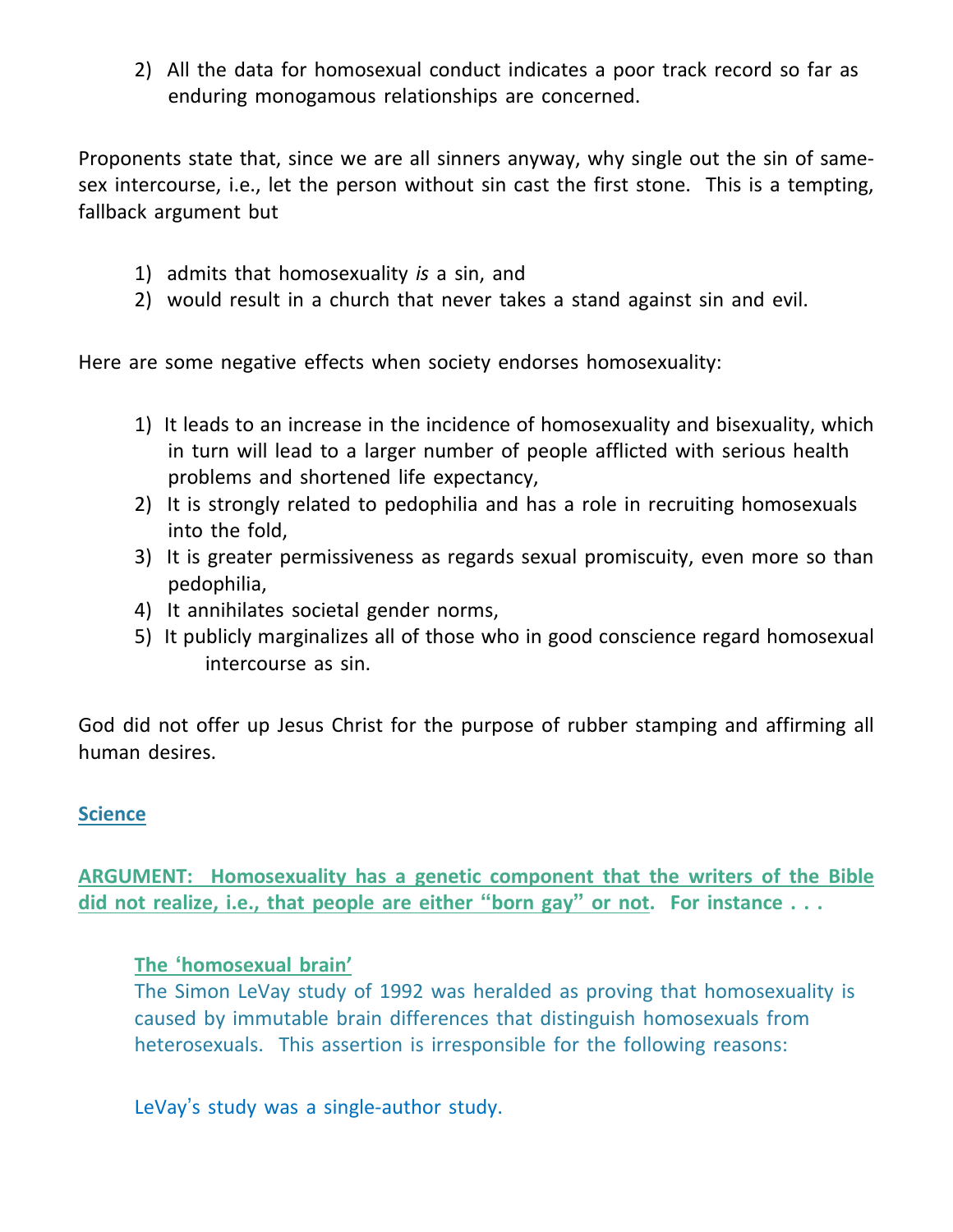2) All the data for homosexual conduct indicates a poor track record so far as enduring monogamous relationships are concerned.

Proponents state that, since we are all sinners anyway, why single out the sin of samesex intercourse, i.e., let the person without sin cast the first stone. This is a tempting, fallback argument but

- 1) admits that homosexuality *is* a sin, and
- 2) would result in a church that never takes a stand against sin and evil.

Here are some negative effects when society endorses homosexuality:

- 1) It leads to an increase in the incidence of homosexuality and bisexuality, which in turn will lead to a larger number of people afflicted with serious health problems and shortened life expectancy,
- 2) It is strongly related to pedophilia and has a role in recruiting homosexuals into the fold,
- 3) It is greater permissiveness as regards sexual promiscuity, even more so than pedophilia,
- 4) It annihilates societal gender norms,
- 5) It publicly marginalizes all of those who in good conscience regard homosexual intercourse as sin.

God did not offer up Jesus Christ for the purpose of rubber stamping and affirming all human desires.

## **Science**

**ARGUMENT: Homosexuality has a genetic component that the writers of the Bible did not realize, i.e., that people are either "born gay" or not. For instance . . .**

## **The 'homosexual brain'**

The Simon LeVay study of 1992 was heralded as proving that homosexuality is caused by immutable brain differences that distinguish homosexuals from heterosexuals. This assertion is irresponsible for the following reasons:

LeVay's study was a single-author study.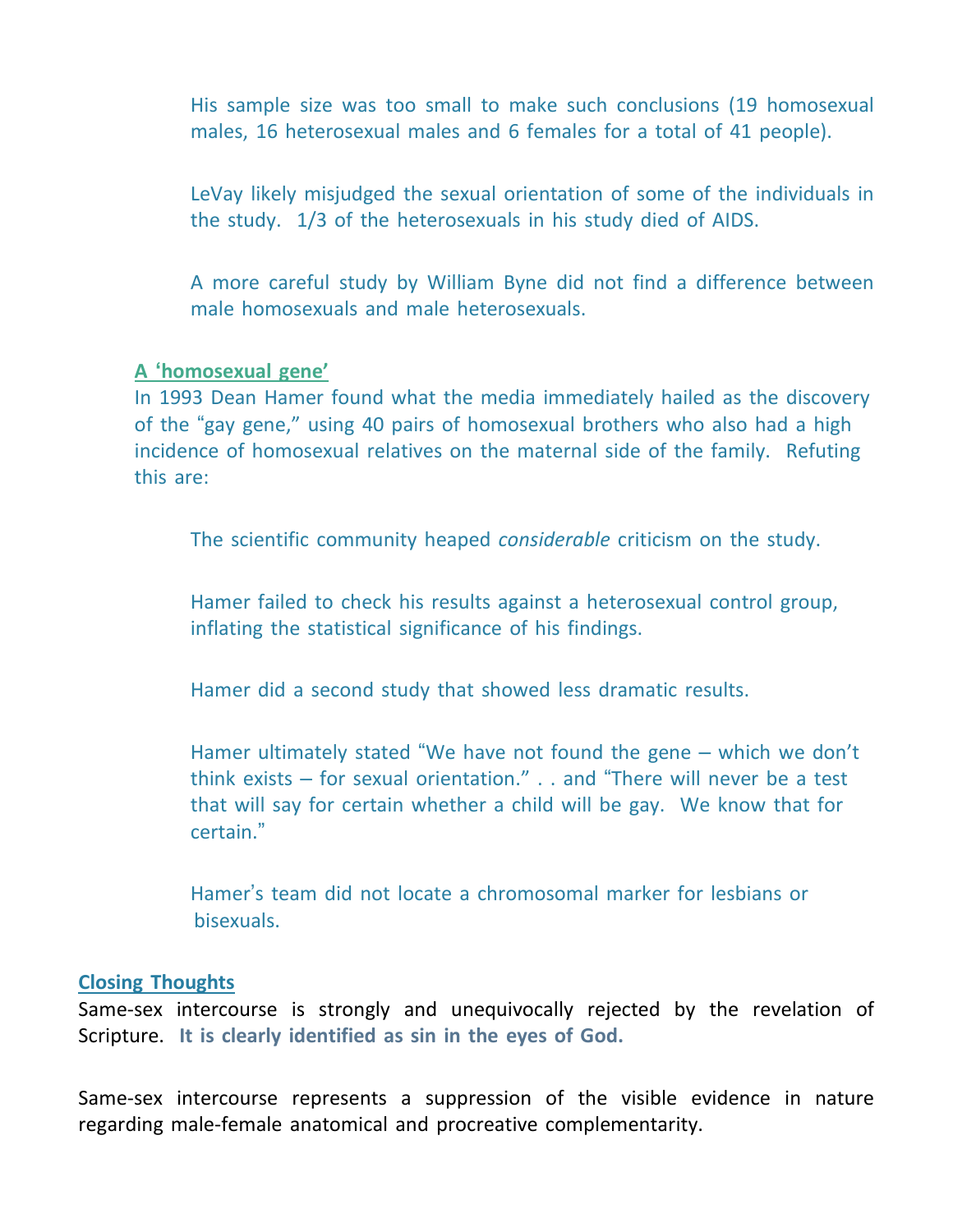His sample size was too small to make such conclusions (19 homosexual males, 16 heterosexual males and 6 females for a total of 41 people).

LeVay likely misjudged the sexual orientation of some of the individuals in the study. 1/3 of the heterosexuals in his study died of AIDS.

A more careful study by William Byne did not find a difference between male homosexuals and male heterosexuals.

#### **A 'homosexual gene'**

In 1993 Dean Hamer found what the media immediately hailed as the discovery of the "gay gene," using 40 pairs of homosexual brothers who also had a high incidence of homosexual relatives on the maternal side of the family. Refuting this are:

The scientific community heaped *considerable* criticism on the study.

Hamer failed to check his results against a heterosexual control group, inflating the statistical significance of his findings.

Hamer did a second study that showed less dramatic results.

Hamer ultimately stated "We have not found the gene – which we don't think exists – for sexual orientation." . . and "There will never be a test that will say for certain whether a child will be gay. We know that for certain."

Hamer's team did not locate a chromosomal marker for lesbians or bisexuals.

#### **Closing Thoughts**

Same-sex intercourse is strongly and unequivocally rejected by the revelation of Scripture. **It is clearly identified as sin in the eyes of God.**

Same-sex intercourse represents a suppression of the visible evidence in nature regarding male-female anatomical and procreative complementarity.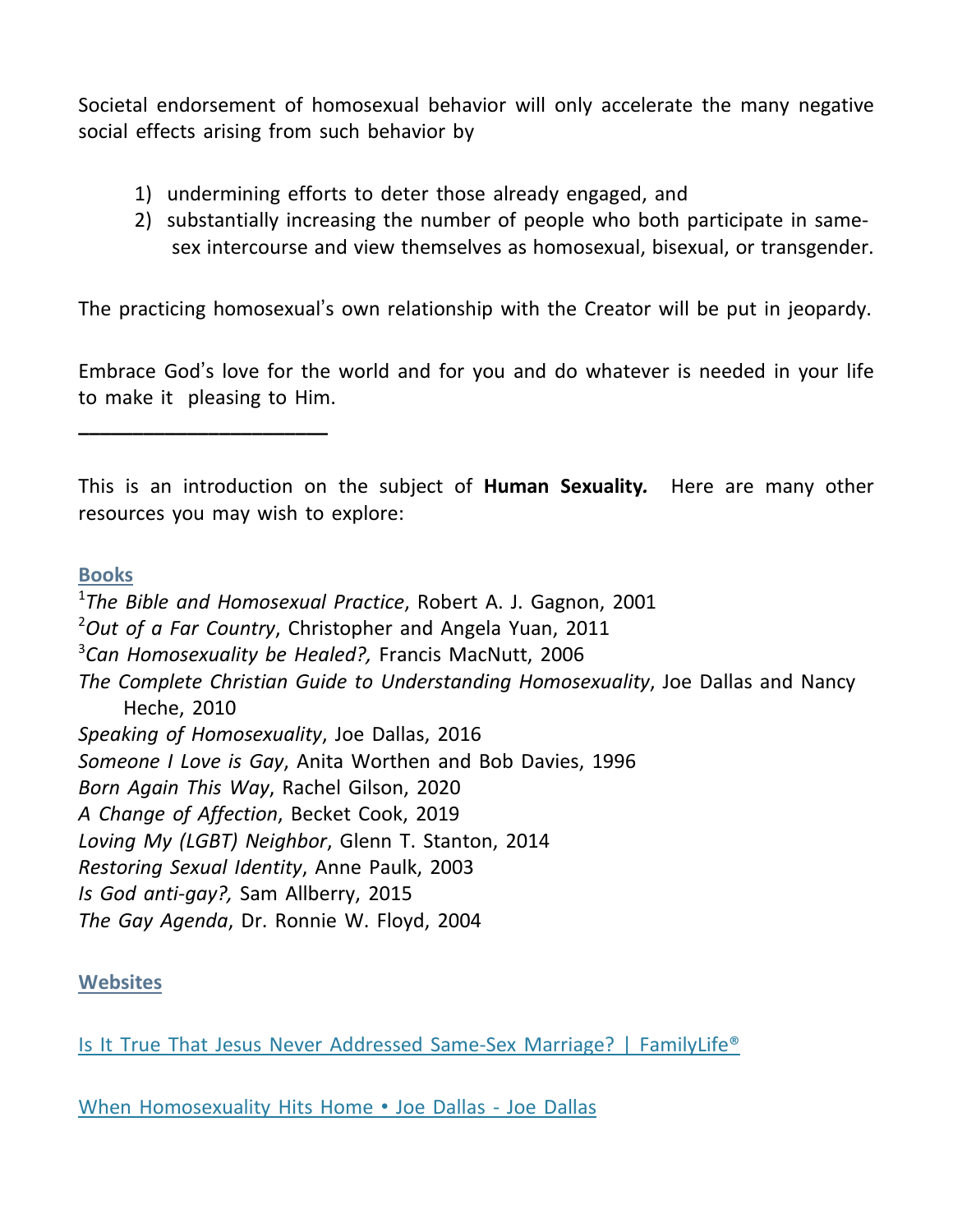Societal endorsement of homosexual behavior will only accelerate the many negative social effects arising from such behavior by

- 1) undermining efforts to deter those already engaged, and
- 2) substantially increasing the number of people who both participate in same sex intercourse and view themselves as homosexual, bisexual, or transgender.

The practicing homosexual's own relationship with the Creator will be put in jeopardy.

Embrace God's love for the world and for you and do whatever is needed in your life to make it pleasing to Him.

This is an introduction on the subject of **Human Sexuality***.* Here are many other resources you may wish to explore:

## **Books**

**\_\_\_\_\_\_\_\_\_\_\_\_\_\_\_\_\_\_\_\_\_\_\_**

1 *The Bible and Homosexual Practice*, Robert A. J. Gagnon, 2001 <sup>2</sup>*Out of a Far Country*, Christopher and Angela Yuan, 2011 3 *Can Homosexuality be Healed?,* Francis MacNutt, 2006 *The Complete Christian Guide to Understanding Homosexuality*, Joe Dallas and Nancy Heche, 2010 *Speaking of Homosexuality*, Joe Dallas, 2016 *Someone I Love is Gay*, Anita Worthen and Bob Davies, 1996 *Born Again This Way*, Rachel Gilson, 2020 *A Change of Affection*, Becket Cook, 2019 *Loving My (LGBT) Neighbor*, Glenn T. Stanton, 2014 *Restoring Sexual Identity*, Anne Paulk, 2003 *Is God anti-gay?,* Sam Allberry, 2015 *The Gay Agenda*, Dr. Ronnie W. Floyd, 2004

## **Websites**

Is It True That Jesus Never Addressed Same-Sex Marriage? | [FamilyLife®](https://www.familylife.com/articles/topics/life-issues/challenges/cultural-issues/is-it-true-that-jesus-never-addressed-same-sex-marriage/)

When [Homosexuality](https://joedallas.com/product/when-homosexuality-hits-home/) Hits Home • Joe Dallas - Joe Dallas